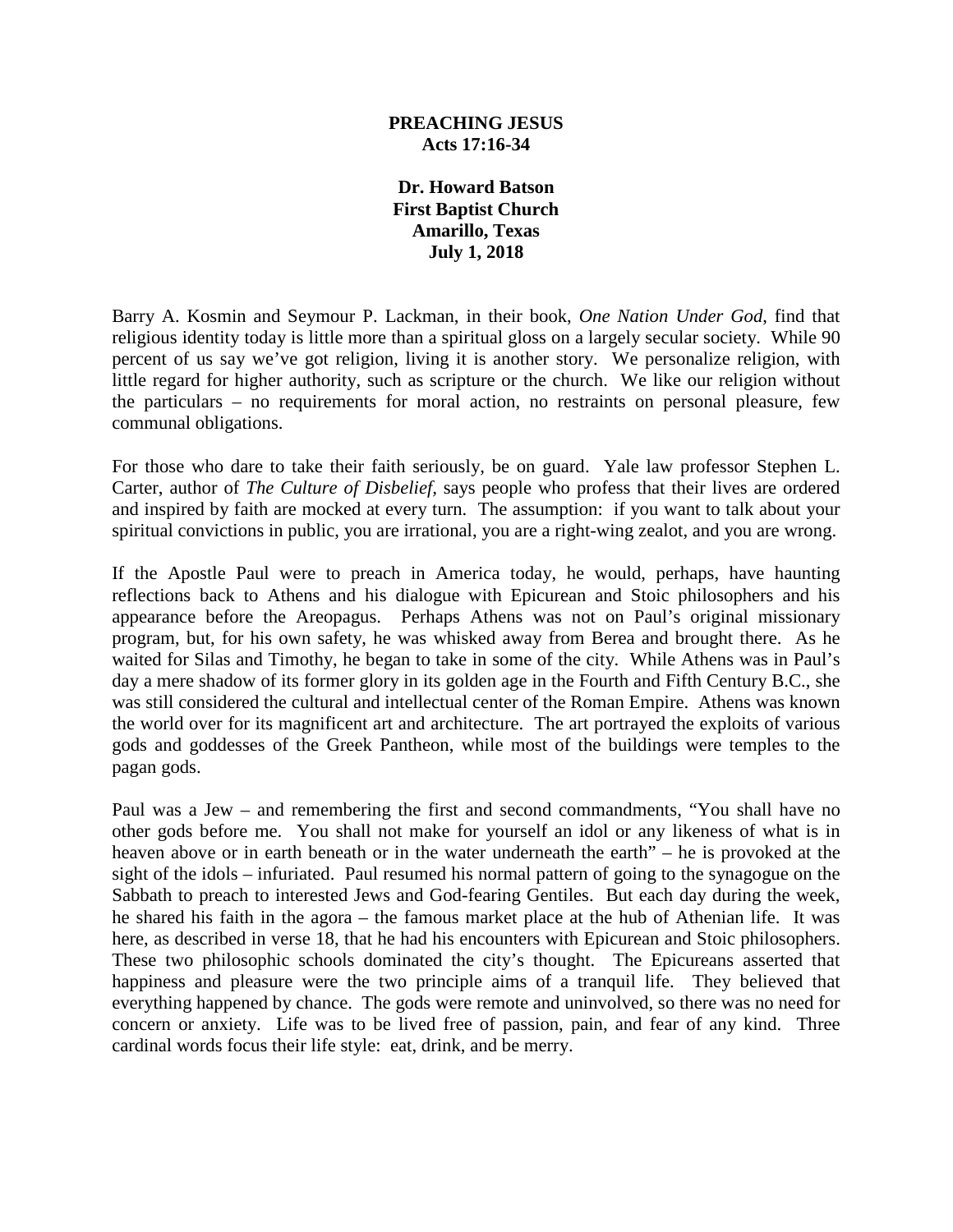#### **PREACHING JESUS Acts 17:16-34**

**Dr. Howard Batson First Baptist Church Amarillo, Texas July 1, 2018**

Barry A. Kosmin and Seymour P. Lackman, in their book, *One Nation Under God*, find that religious identity today is little more than a spiritual gloss on a largely secular society. While 90 percent of us say we've got religion, living it is another story. We personalize religion, with little regard for higher authority, such as scripture or the church. We like our religion without the particulars – no requirements for moral action, no restraints on personal pleasure, few communal obligations.

For those who dare to take their faith seriously, be on guard. Yale law professor Stephen L. Carter, author of *The Culture of Disbelief,* says people who profess that their lives are ordered and inspired by faith are mocked at every turn. The assumption: if you want to talk about your spiritual convictions in public, you are irrational, you are a right-wing zealot, and you are wrong.

If the Apostle Paul were to preach in America today, he would, perhaps, have haunting reflections back to Athens and his dialogue with Epicurean and Stoic philosophers and his appearance before the Areopagus. Perhaps Athens was not on Paul's original missionary program, but, for his own safety, he was whisked away from Berea and brought there. As he waited for Silas and Timothy, he began to take in some of the city. While Athens was in Paul's day a mere shadow of its former glory in its golden age in the Fourth and Fifth Century B.C., she was still considered the cultural and intellectual center of the Roman Empire. Athens was known the world over for its magnificent art and architecture. The art portrayed the exploits of various gods and goddesses of the Greek Pantheon, while most of the buildings were temples to the pagan gods.

Paul was a Jew – and remembering the first and second commandments, "You shall have no other gods before me. You shall not make for yourself an idol or any likeness of what is in heaven above or in earth beneath or in the water underneath the earth" – he is provoked at the sight of the idols – infuriated. Paul resumed his normal pattern of going to the synagogue on the Sabbath to preach to interested Jews and God-fearing Gentiles. But each day during the week, he shared his faith in the agora – the famous market place at the hub of Athenian life. It was here, as described in verse 18, that he had his encounters with Epicurean and Stoic philosophers. These two philosophic schools dominated the city's thought. The Epicureans asserted that happiness and pleasure were the two principle aims of a tranquil life. They believed that everything happened by chance. The gods were remote and uninvolved, so there was no need for concern or anxiety. Life was to be lived free of passion, pain, and fear of any kind. Three cardinal words focus their life style: eat, drink, and be merry.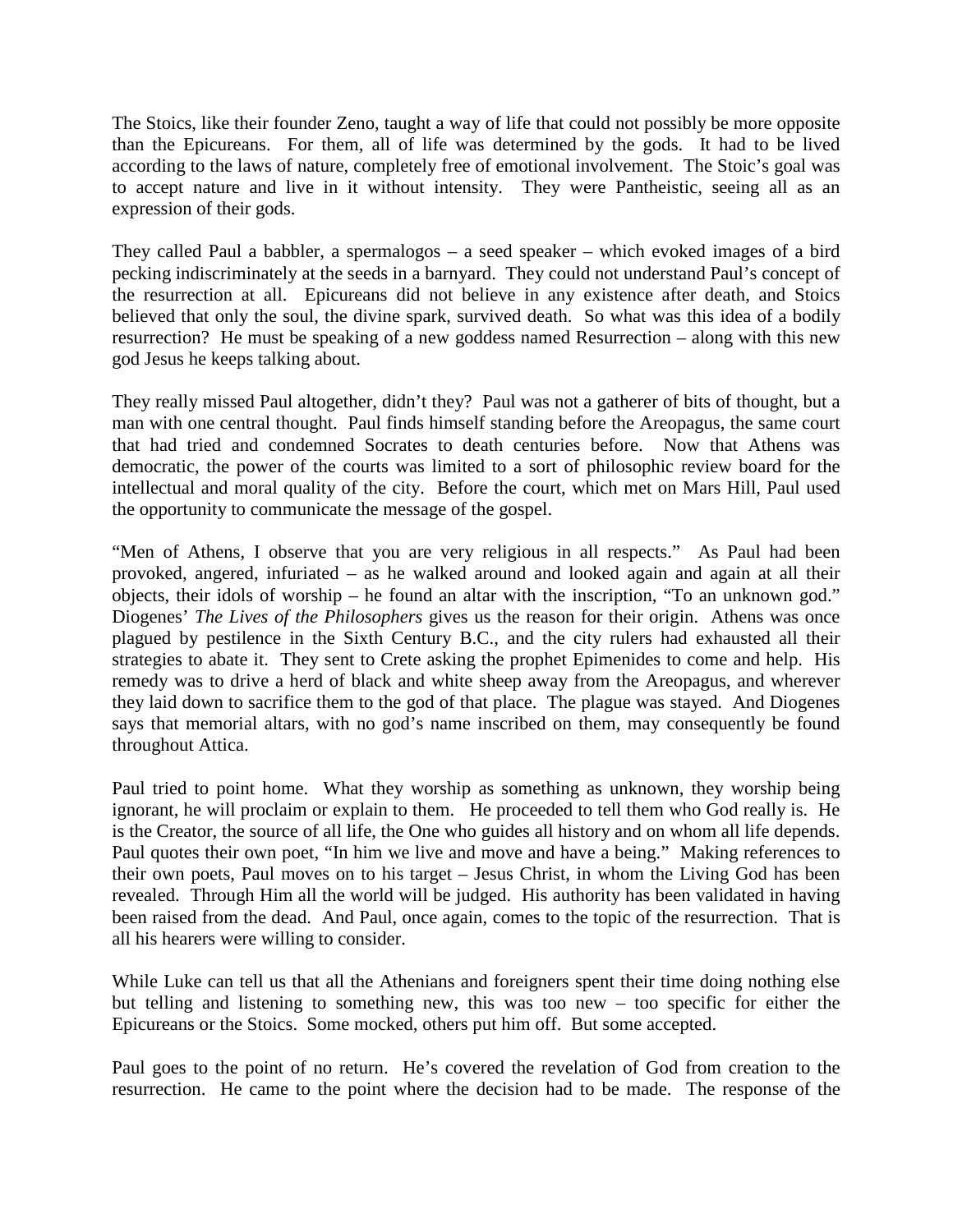The Stoics, like their founder Zeno, taught a way of life that could not possibly be more opposite than the Epicureans. For them, all of life was determined by the gods. It had to be lived according to the laws of nature, completely free of emotional involvement. The Stoic's goal was to accept nature and live in it without intensity. They were Pantheistic, seeing all as an expression of their gods.

They called Paul a babbler, a spermalogos – a seed speaker – which evoked images of a bird pecking indiscriminately at the seeds in a barnyard. They could not understand Paul's concept of the resurrection at all. Epicureans did not believe in any existence after death, and Stoics believed that only the soul, the divine spark, survived death. So what was this idea of a bodily resurrection? He must be speaking of a new goddess named Resurrection – along with this new god Jesus he keeps talking about.

They really missed Paul altogether, didn't they? Paul was not a gatherer of bits of thought, but a man with one central thought. Paul finds himself standing before the Areopagus, the same court that had tried and condemned Socrates to death centuries before. Now that Athens was democratic, the power of the courts was limited to a sort of philosophic review board for the intellectual and moral quality of the city. Before the court, which met on Mars Hill, Paul used the opportunity to communicate the message of the gospel.

"Men of Athens, I observe that you are very religious in all respects." As Paul had been provoked, angered, infuriated – as he walked around and looked again and again at all their objects, their idols of worship – he found an altar with the inscription, "To an unknown god." Diogenes' *The Lives of the Philosophers* gives us the reason for their origin. Athens was once plagued by pestilence in the Sixth Century B.C., and the city rulers had exhausted all their strategies to abate it. They sent to Crete asking the prophet Epimenides to come and help. His remedy was to drive a herd of black and white sheep away from the Areopagus, and wherever they laid down to sacrifice them to the god of that place. The plague was stayed. And Diogenes says that memorial altars, with no god's name inscribed on them, may consequently be found throughout Attica.

Paul tried to point home. What they worship as something as unknown, they worship being ignorant, he will proclaim or explain to them. He proceeded to tell them who God really is. He is the Creator, the source of all life, the One who guides all history and on whom all life depends. Paul quotes their own poet, "In him we live and move and have a being." Making references to their own poets, Paul moves on to his target – Jesus Christ, in whom the Living God has been revealed. Through Him all the world will be judged. His authority has been validated in having been raised from the dead. And Paul, once again, comes to the topic of the resurrection. That is all his hearers were willing to consider.

While Luke can tell us that all the Athenians and foreigners spent their time doing nothing else but telling and listening to something new, this was too new – too specific for either the Epicureans or the Stoics. Some mocked, others put him off. But some accepted.

Paul goes to the point of no return. He's covered the revelation of God from creation to the resurrection. He came to the point where the decision had to be made. The response of the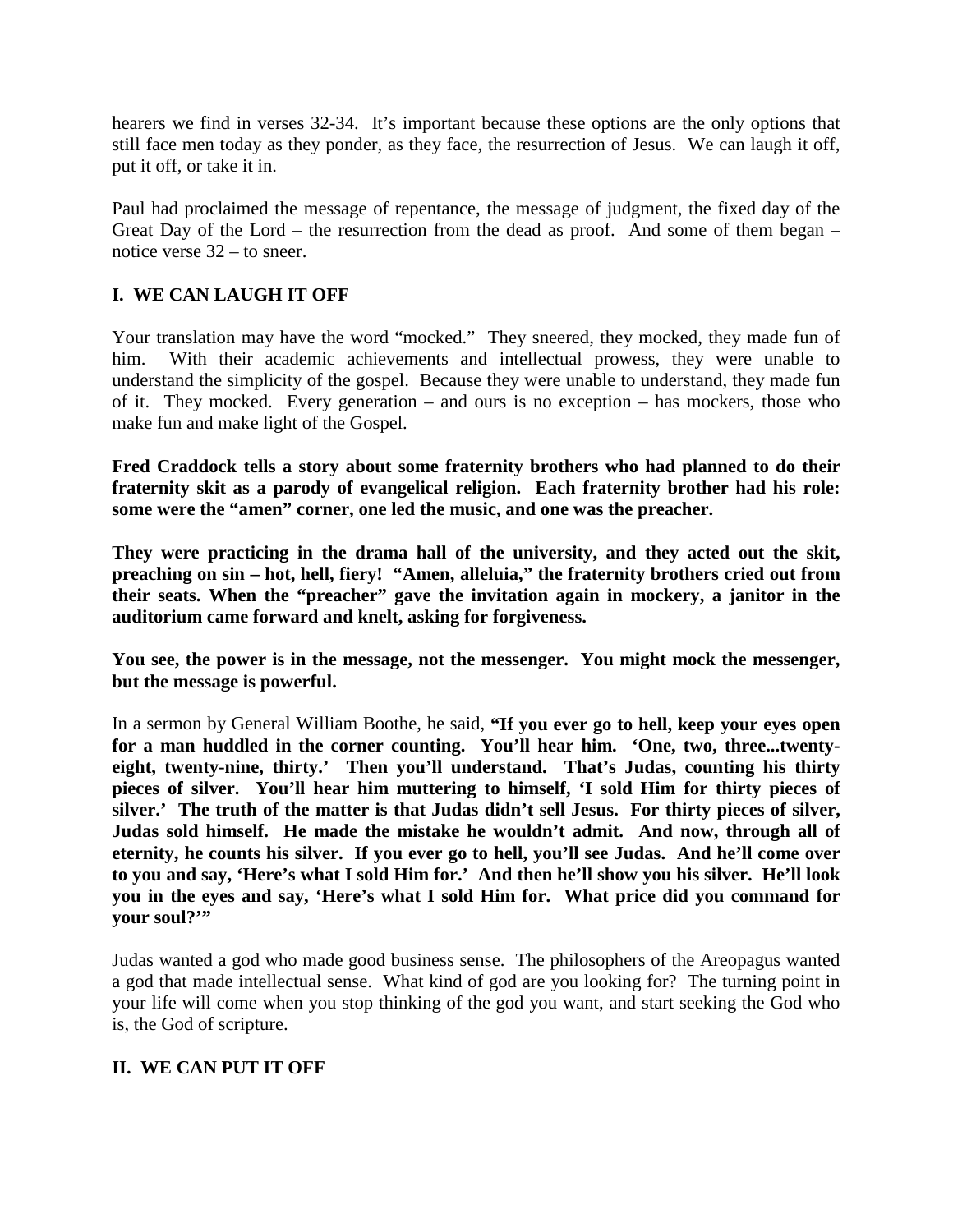hearers we find in verses 32-34. It's important because these options are the only options that still face men today as they ponder, as they face, the resurrection of Jesus. We can laugh it off, put it off, or take it in.

Paul had proclaimed the message of repentance, the message of judgment, the fixed day of the Great Day of the Lord – the resurrection from the dead as proof. And some of them began – notice verse 32 – to sneer.

# **I. WE CAN LAUGH IT OFF**

Your translation may have the word "mocked." They sneered, they mocked, they made fun of him. With their academic achievements and intellectual prowess, they were unable to understand the simplicity of the gospel. Because they were unable to understand, they made fun of it. They mocked. Every generation – and ours is no exception – has mockers, those who make fun and make light of the Gospel.

**Fred Craddock tells a story about some fraternity brothers who had planned to do their fraternity skit as a parody of evangelical religion. Each fraternity brother had his role: some were the "amen" corner, one led the music, and one was the preacher.**

**They were practicing in the drama hall of the university, and they acted out the skit, preaching on sin – hot, hell, fiery! "Amen, alleluia," the fraternity brothers cried out from their seats. When the "preacher" gave the invitation again in mockery, a janitor in the auditorium came forward and knelt, asking for forgiveness.** 

**You see, the power is in the message, not the messenger. You might mock the messenger, but the message is powerful.**

In a sermon by General William Boothe, he said, **"If you ever go to hell, keep your eyes open for a man huddled in the corner counting. You'll hear him. 'One, two, three...twentyeight, twenty-nine, thirty.' Then you'll understand. That's Judas, counting his thirty pieces of silver. You'll hear him muttering to himself, 'I sold Him for thirty pieces of silver.' The truth of the matter is that Judas didn't sell Jesus. For thirty pieces of silver, Judas sold himself. He made the mistake he wouldn't admit. And now, through all of eternity, he counts his silver. If you ever go to hell, you'll see Judas. And he'll come over to you and say, 'Here's what I sold Him for.' And then he'll show you his silver. He'll look you in the eyes and say, 'Here's what I sold Him for. What price did you command for your soul?'"**

Judas wanted a god who made good business sense. The philosophers of the Areopagus wanted a god that made intellectual sense. What kind of god are you looking for? The turning point in your life will come when you stop thinking of the god you want, and start seeking the God who is, the God of scripture.

## **II. WE CAN PUT IT OFF**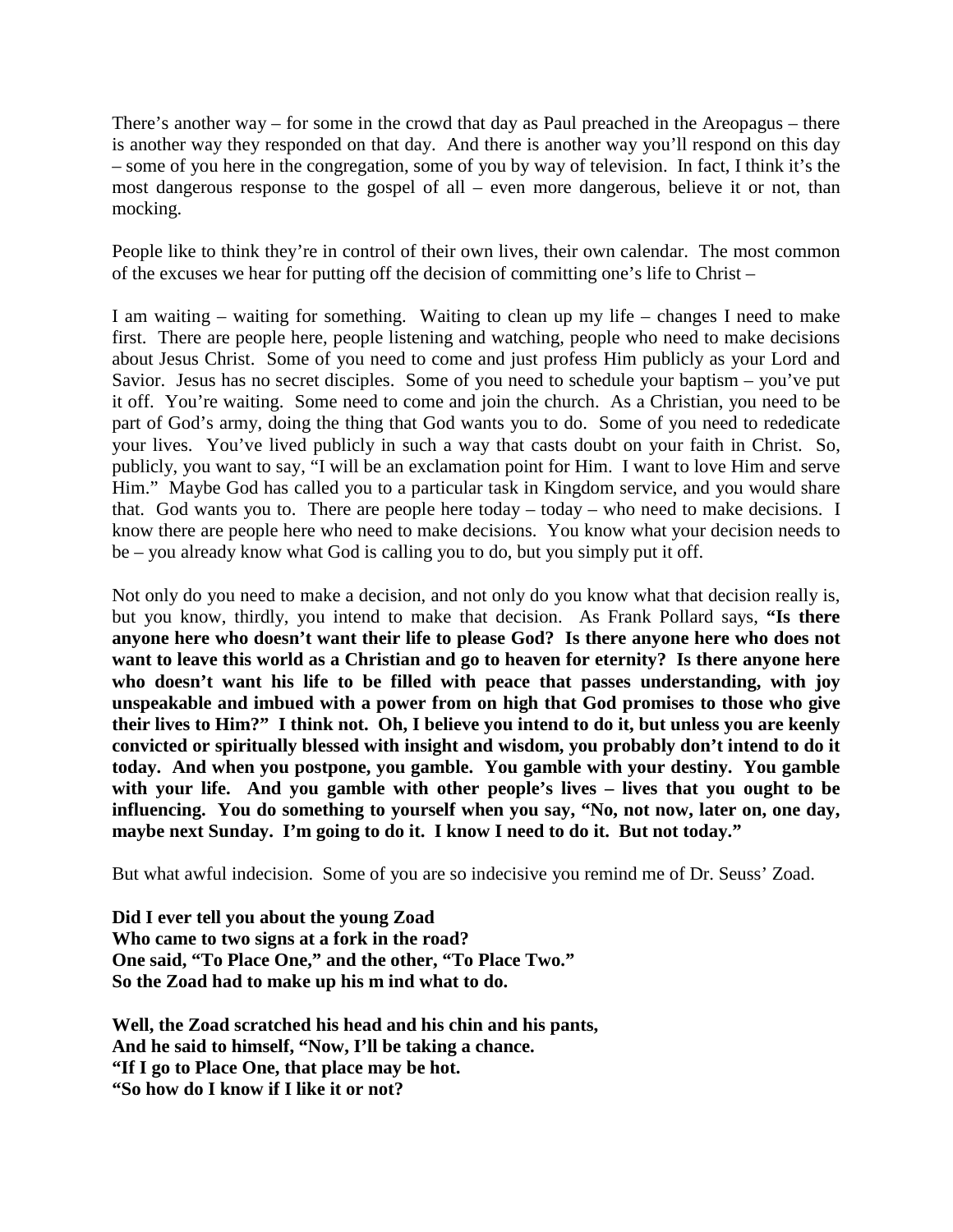There's another way – for some in the crowd that day as Paul preached in the Areopagus – there is another way they responded on that day. And there is another way you'll respond on this day – some of you here in the congregation, some of you by way of television. In fact, I think it's the most dangerous response to the gospel of all – even more dangerous, believe it or not, than mocking.

People like to think they're in control of their own lives, their own calendar. The most common of the excuses we hear for putting off the decision of committing one's life to Christ –

I am waiting – waiting for something. Waiting to clean up my life – changes I need to make first. There are people here, people listening and watching, people who need to make decisions about Jesus Christ. Some of you need to come and just profess Him publicly as your Lord and Savior. Jesus has no secret disciples. Some of you need to schedule your baptism – you've put it off. You're waiting. Some need to come and join the church. As a Christian, you need to be part of God's army, doing the thing that God wants you to do. Some of you need to rededicate your lives. You've lived publicly in such a way that casts doubt on your faith in Christ. So, publicly, you want to say, "I will be an exclamation point for Him. I want to love Him and serve Him." Maybe God has called you to a particular task in Kingdom service, and you would share that. God wants you to. There are people here today – today – who need to make decisions. I know there are people here who need to make decisions. You know what your decision needs to be – you already know what God is calling you to do, but you simply put it off.

Not only do you need to make a decision, and not only do you know what that decision really is, but you know, thirdly, you intend to make that decision. As Frank Pollard says, **"Is there anyone here who doesn't want their life to please God? Is there anyone here who does not want to leave this world as a Christian and go to heaven for eternity? Is there anyone here who doesn't want his life to be filled with peace that passes understanding, with joy unspeakable and imbued with a power from on high that God promises to those who give their lives to Him?" I think not. Oh, I believe you intend to do it, but unless you are keenly convicted or spiritually blessed with insight and wisdom, you probably don't intend to do it today. And when you postpone, you gamble. You gamble with your destiny. You gamble with your life. And you gamble with other people's lives – lives that you ought to be influencing. You do something to yourself when you say, "No, not now, later on, one day, maybe next Sunday. I'm going to do it. I know I need to do it. But not today."**

But what awful indecision. Some of you are so indecisive you remind me of Dr. Seuss' Zoad.

**Did I ever tell you about the young Zoad Who came to two signs at a fork in the road? One said, "To Place One," and the other, "To Place Two." So the Zoad had to make up his m ind what to do.**

**Well, the Zoad scratched his head and his chin and his pants, And he said to himself, "Now, I'll be taking a chance. "If I go to Place One, that place may be hot. "So how do I know if I like it or not?**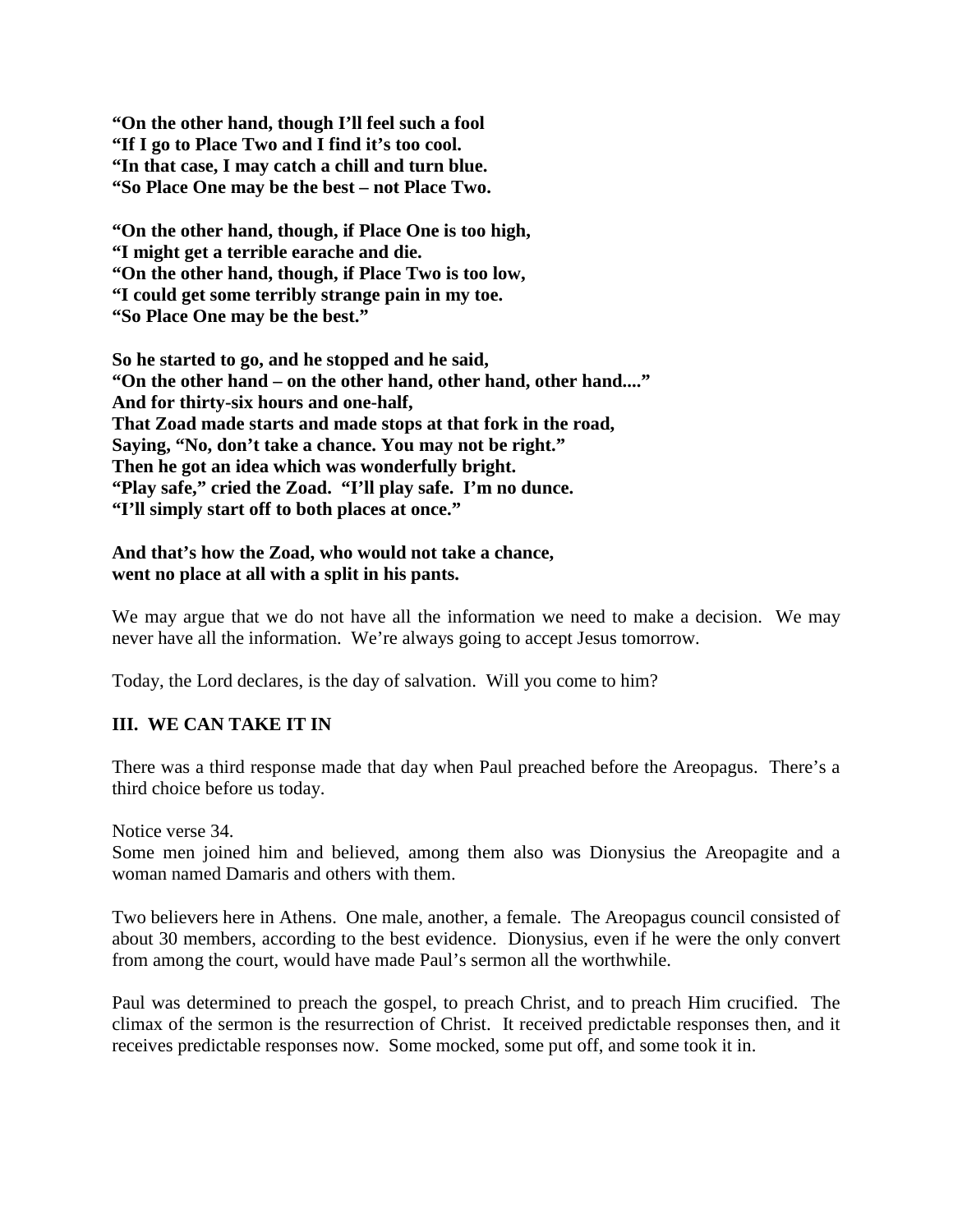**"On the other hand, though I'll feel such a fool "If I go to Place Two and I find it's too cool. "In that case, I may catch a chill and turn blue. "So Place One may be the best – not Place Two.**

**"On the other hand, though, if Place One is too high, "I might get a terrible earache and die. "On the other hand, though, if Place Two is too low, "I could get some terribly strange pain in my toe. "So Place One may be the best."**

**So he started to go, and he stopped and he said, "On the other hand – on the other hand, other hand, other hand...." And for thirty-six hours and one-half, That Zoad made starts and made stops at that fork in the road, Saying, "No, don't take a chance. You may not be right." Then he got an idea which was wonderfully bright. "Play safe," cried the Zoad. "I'll play safe. I'm no dunce. "I'll simply start off to both places at once."**

#### **And that's how the Zoad, who would not take a chance, went no place at all with a split in his pants.**

We may argue that we do not have all the information we need to make a decision. We may never have all the information. We're always going to accept Jesus tomorrow.

Today, the Lord declares, is the day of salvation. Will you come to him?

## **III. WE CAN TAKE IT IN**

There was a third response made that day when Paul preached before the Areopagus. There's a third choice before us today.

Notice verse 34.

Some men joined him and believed, among them also was Dionysius the Areopagite and a woman named Damaris and others with them.

Two believers here in Athens. One male, another, a female. The Areopagus council consisted of about 30 members, according to the best evidence. Dionysius, even if he were the only convert from among the court, would have made Paul's sermon all the worthwhile.

Paul was determined to preach the gospel, to preach Christ, and to preach Him crucified. The climax of the sermon is the resurrection of Christ. It received predictable responses then, and it receives predictable responses now. Some mocked, some put off, and some took it in.